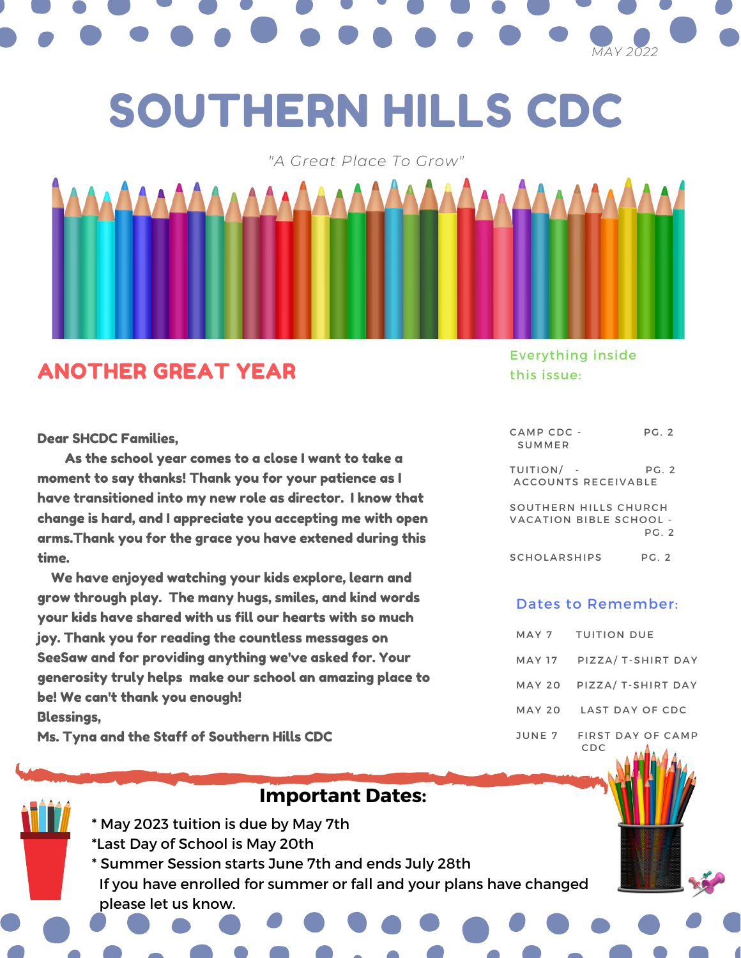# *MAY 2022*

## SOUTHERN HILLS CDC

*"A Great Place To Grow"*

## ANOTHER GREAT YEAR

Dear SHCDC Families,

As the school year comes to a close I want to take a moment to say thanks! Thank you for your patience as I have transitioned into my new role as director. I know that change is hard, and I appreciate you accepting me with open arms.Thank you for the grace you have extened during this time.

We have enjoyed watching your kids explore, learn and grow through play. The many hugs, smiles, and kind words your kids have shared with us fill our hearts with so much joy. Thank you for reading the countless messages on SeeSaw and for providing anything we've asked for. Your generosity truly helps make our school an amazing place to be! We can't thank you enough! Blessings,

Ms. Tyna and the Staff of Southern Hills CDC

### **Important Dates:**

- \* May 2023 tuition is due by May 7th
- \*Last Day of School is May 20th
- \* Summer Session starts June 7th and ends July 28th If you have enrolled for summer or fall and your plans have changed please let us know.

Everything inside this issue:

CAMP CDC - PG. 2 SUMMER

TUITION/ - PG. 2 ACCOUNTS RECEIVABLE

SOUTHERN HILLS CHURCH VACATION BIBLE SCHOOL -PG. 2

SCHOLARSHIPS PG. 2

#### Dates to Remember:

|        | MAY 7 TUITION DUE          |
|--------|----------------------------|
| MAY 17 | PIZZA/ T-SHIRT DAY         |
|        | MAY 20 PIZZA/ T-SHIRT DAY  |
|        | MAY 20 LAST DAY OF CDC     |
| JUNE 7 | FIRST DAY OF CAMP<br>CDC A |